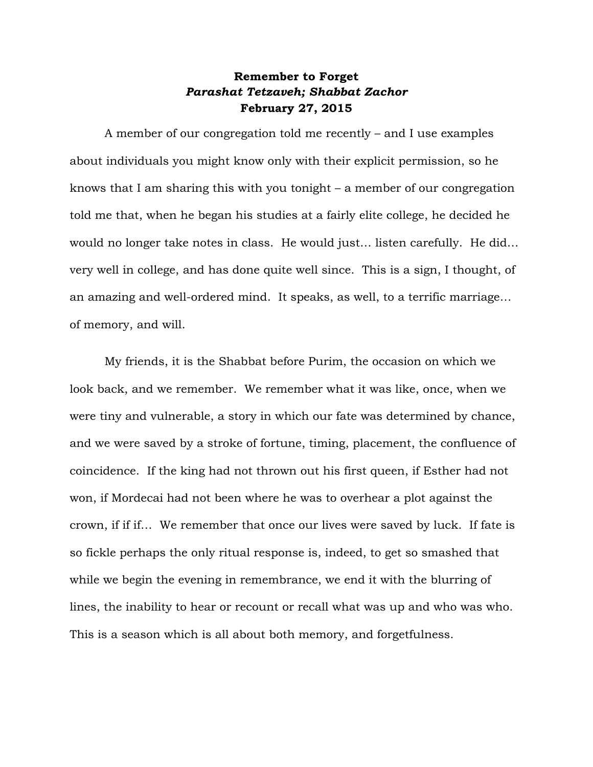## **Remember to Forget** *Parashat Tetzaveh; Shabbat Zachor* **February 27, 2015**

A member of our congregation told me recently – and I use examples about individuals you might know only with their explicit permission, so he knows that I am sharing this with you tonight – a member of our congregation told me that, when he began his studies at a fairly elite college, he decided he would no longer take notes in class. He would just… listen carefully. He did… very well in college, and has done quite well since. This is a sign, I thought, of an amazing and well-ordered mind. It speaks, as well, to a terrific marriage… of memory, and will.

My friends, it is the Shabbat before Purim, the occasion on which we look back, and we remember. We remember what it was like, once, when we were tiny and vulnerable, a story in which our fate was determined by chance, and we were saved by a stroke of fortune, timing, placement, the confluence of coincidence. If the king had not thrown out his first queen, if Esther had not won, if Mordecai had not been where he was to overhear a plot against the crown, if if if… We remember that once our lives were saved by luck. If fate is so fickle perhaps the only ritual response is, indeed, to get so smashed that while we begin the evening in remembrance, we end it with the blurring of lines, the inability to hear or recount or recall what was up and who was who. This is a season which is all about both memory, and forgetfulness.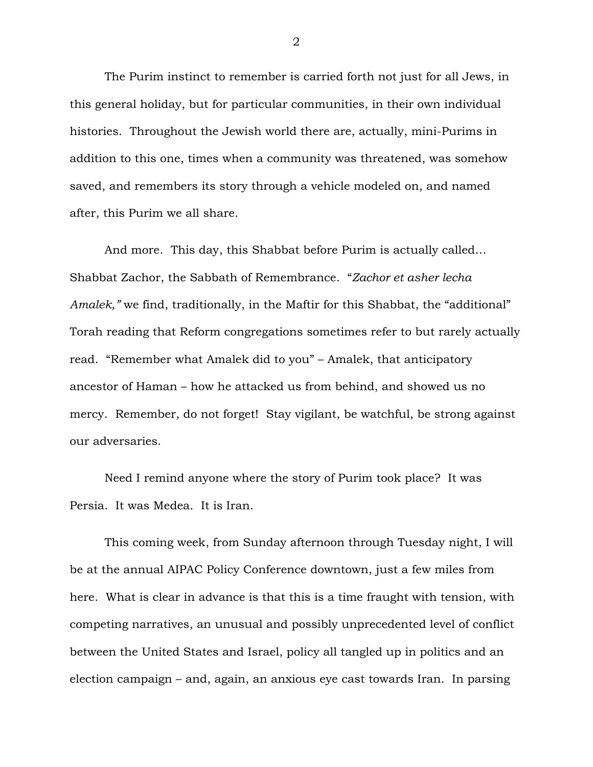The Purim instinct to remember is carried forth not just for all Jews, in this general holiday, but for particular communities, in their own individual histories. Throughout the Jewish world there are, actually, mini-Purims in addition to this one, times when a community was threatened, was somehow saved, and remembers its story through a vehicle modeled on, and named after, this Purim we all share.

And more. This day, this Shabbat before Purim is actually called… Shabbat Zachor, the Sabbath of Remembrance. "*Zachor et asher lecha Amalek,"* we find, traditionally, in the Maftir for this Shabbat, the "additional" Torah reading that Reform congregations sometimes refer to but rarely actually read. "Remember what Amalek did to you" – Amalek, that anticipatory ancestor of Haman – how he attacked us from behind, and showed us no mercy. Remember, do not forget! Stay vigilant, be watchful, be strong against our adversaries.

Need I remind anyone where the story of Purim took place? It was Persia. It was Medea. It is Iran.

This coming week, from Sunday afternoon through Tuesday night, I will be at the annual AIPAC Policy Conference downtown, just a few miles from here. What is clear in advance is that this is a time fraught with tension, with competing narratives, an unusual and possibly unprecedented level of conflict between the United States and Israel, policy all tangled up in politics and an election campaign – and, again, an anxious eye cast towards Iran. In parsing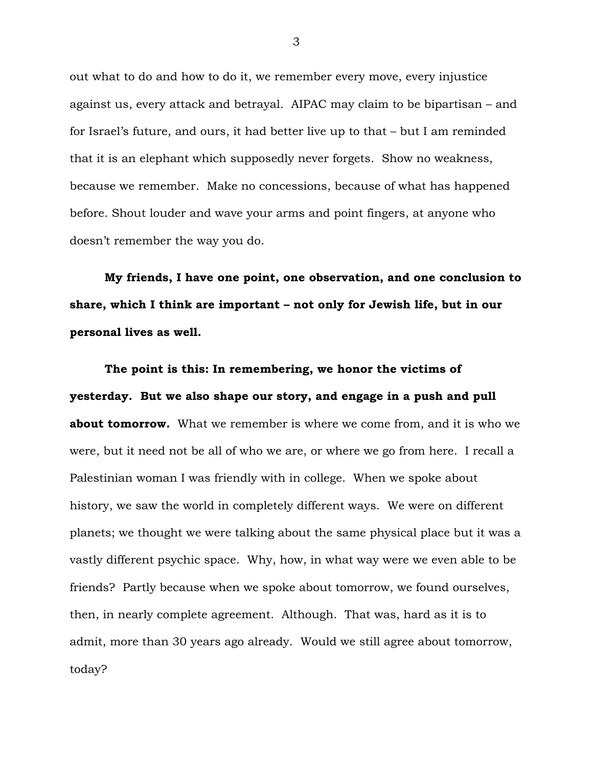out what to do and how to do it, we remember every move, every injustice against us, every attack and betrayal. AIPAC may claim to be bipartisan – and for Israel's future, and ours, it had better live up to that – but I am reminded that it is an elephant which supposedly never forgets. Show no weakness, because we remember. Make no concessions, because of what has happened before. Shout louder and wave your arms and point fingers, at anyone who doesn't remember the way you do.

**My friends, I have one point, one observation, and one conclusion to share, which I think are important – not only for Jewish life, but in our personal lives as well.**

**The point is this: In remembering, we honor the victims of yesterday. But we also shape our story, and engage in a push and pull about tomorrow.** What we remember is where we come from, and it is who we were, but it need not be all of who we are, or where we go from here. I recall a Palestinian woman I was friendly with in college. When we spoke about history, we saw the world in completely different ways. We were on different planets; we thought we were talking about the same physical place but it was a vastly different psychic space. Why, how, in what way were we even able to be friends? Partly because when we spoke about tomorrow, we found ourselves, then, in nearly complete agreement. Although. That was, hard as it is to admit, more than 30 years ago already. Would we still agree about tomorrow, today?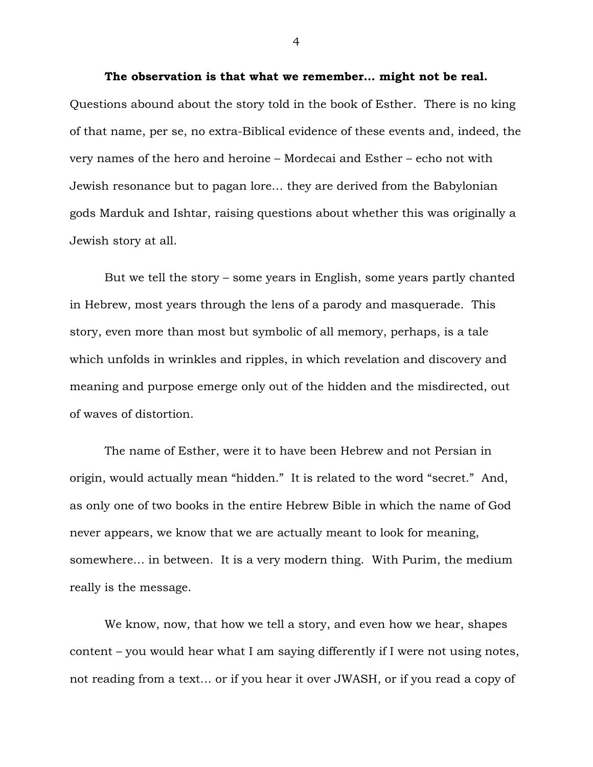**The observation is that what we remember… might not be real.** Questions abound about the story told in the book of Esther. There is no king of that name, per se, no extra-Biblical evidence of these events and, indeed, the very names of the hero and heroine – Mordecai and Esther – echo not with Jewish resonance but to pagan lore… they are derived from the Babylonian gods Marduk and Ishtar, raising questions about whether this was originally a Jewish story at all.

But we tell the story – some years in English, some years partly chanted in Hebrew, most years through the lens of a parody and masquerade. This story, even more than most but symbolic of all memory, perhaps, is a tale which unfolds in wrinkles and ripples, in which revelation and discovery and meaning and purpose emerge only out of the hidden and the misdirected, out of waves of distortion.

The name of Esther, were it to have been Hebrew and not Persian in origin, would actually mean "hidden." It is related to the word "secret." And, as only one of two books in the entire Hebrew Bible in which the name of God never appears, we know that we are actually meant to look for meaning, somewhere… in between. It is a very modern thing. With Purim, the medium really is the message.

We know, now, that how we tell a story, and even how we hear, shapes content – you would hear what I am saying differently if I were not using notes, not reading from a text… or if you hear it over JWASH, or if you read a copy of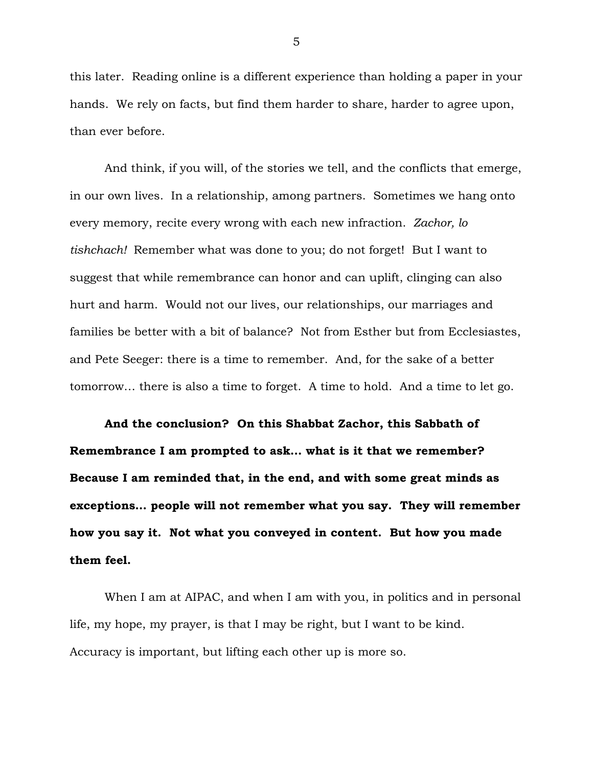this later. Reading online is a different experience than holding a paper in your hands. We rely on facts, but find them harder to share, harder to agree upon, than ever before.

And think, if you will, of the stories we tell, and the conflicts that emerge, in our own lives. In a relationship, among partners. Sometimes we hang onto every memory, recite every wrong with each new infraction. *Zachor, lo tishchach!* Remember what was done to you; do not forget! But I want to suggest that while remembrance can honor and can uplift, clinging can also hurt and harm. Would not our lives, our relationships, our marriages and families be better with a bit of balance? Not from Esther but from Ecclesiastes, and Pete Seeger: there is a time to remember. And, for the sake of a better tomorrow… there is also a time to forget. A time to hold. And a time to let go.

**And the conclusion? On this Shabbat Zachor, this Sabbath of Remembrance I am prompted to ask… what is it that we remember? Because I am reminded that, in the end, and with some great minds as exceptions… people will not remember what you say. They will remember how you say it. Not what you conveyed in content. But how you made them feel.**

When I am at AIPAC, and when I am with you, in politics and in personal life, my hope, my prayer, is that I may be right, but I want to be kind. Accuracy is important, but lifting each other up is more so.